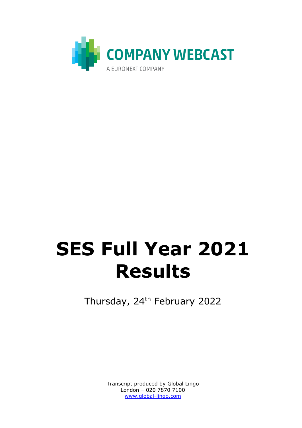

## **SES Full Year 2021 Results**

Thursday, 24<sup>th</sup> February 2022

Transcript produced by Global Lingo London – 020 7870 7100 [www.global-lingo.com](http://www.global-lingo.com/)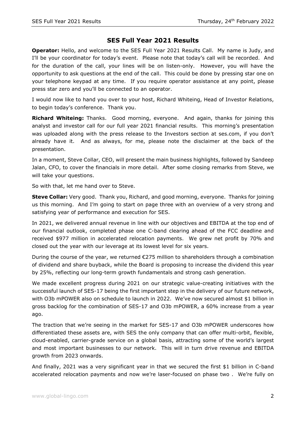## **SES Full Year 2021 Results**

**Operator:** Hello, and welcome to the SES Full Year 2021 Results Call. My name is Judy, and I'll be your coordinator for today's event. Please note that today's call will be recorded. And for the duration of the call, your lines will be on listen-only. However, you will have the opportunity to ask questions at the end of the call. This could be done by pressing star one on your telephone keypad at any time. If you require operator assistance at any point, please press star zero and you'll be connected to an operator.

I would now like to hand you over to your host, Richard Whiteing, Head of Investor Relations, to begin today's conference. Thank you.

**Richard Whiteing:** Thanks. Good morning, everyone. And again, thanks for joining this analyst and investor call for our full year 2021 financial results. This morning's presentation was uploaded along with the press release to the Investors section at ses.com, if you don't already have it. And as always, for me, please note the disclaimer at the back of the presentation.

In a moment, Steve Collar, CEO, will present the main business highlights, followed by Sandeep Jalan, CFO, to cover the financials in more detail. After some closing remarks from Steve, we will take your questions.

So with that, let me hand over to Steve.

**Steve Collar:** Very good. Thank you, Richard, and good morning, everyone. Thanks for joining us this morning. And I'm going to start on page three with an overview of a very strong and satisfying year of performance and execution for SES.

In 2021, we delivered annual revenue in line with our objectives and EBITDA at the top end of our financial outlook, completed phase one C-band clearing ahead of the FCC deadline and received \$977 million in accelerated relocation payments. We grew net profit by 70% and closed out the year with our leverage at its lowest level for six years.

During the course of the year, we returned €275 million to shareholders through a combination of dividend and share buyback, while the Board is proposing to increase the dividend this year by 25%, reflecting our long-term growth fundamentals and strong cash generation.

We made excellent progress during 2021 on our strategic value-creating initiatives with the successful launch of SES-17 being the first important step in the delivery of our future network, with O3b mPOWER also on schedule to launch in 2022. We've now secured almost \$1 billion in gross backlog for the combination of SES-17 and O3b mPOWER, a 60% increase from a year ago.

The traction that we're seeing in the market for SES-17 and O3b mPOWER underscores how differentiated these assets are, with SES the only company that can offer multi-orbit, flexible, cloud-enabled, carrier-grade service on a global basis, attracting some of the world's largest and most important businesses to our network. This will in turn drive revenue and EBITDA growth from 2023 onwards.

And finally, 2021 was a very significant year in that we secured the first \$1 billion in C-band accelerated relocation payments and now we're laser-focused on phase two . We're fully on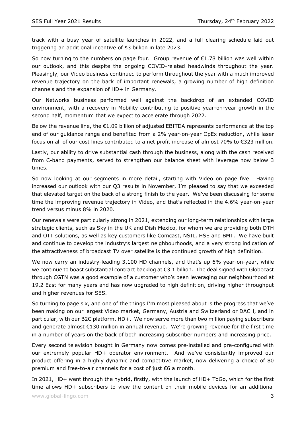track with a busy year of satellite launches in 2022, and a full clearing schedule laid out triggering an additional incentive of \$3 billion in late 2023.

So now turning to the numbers on page four. Group revenue of €1.78 billion was well within our outlook, and this despite the ongoing COVID-related headwinds throughout the year. Pleasingly, our Video business continued to perform throughout the year with a much improved revenue trajectory on the back of important renewals, a growing number of high definition channels and the expansion of HD+ in Germany.

Our Networks business performed well against the backdrop of an extended COVID environment, with a recovery in Mobility contributing to positive year-on-year growth in the second half, momentum that we expect to accelerate through 2022.

Below the revenue line, the  $E1.09$  billion of adjusted EBITDA represents performance at the top end of our guidance range and benefited from a 2% year-on-year OpEx reduction, while laser focus on all of our cost lines contributed to a net profit increase of almost 70% to €323 million.

Lastly, our ability to drive substantial cash through the business, along with the cash received from C-band payments, served to strengthen our balance sheet with leverage now below 3 times.

So now looking at our segments in more detail, starting with Video on page five. Having increased our outlook with our Q3 results in November, I'm pleased to say that we exceeded that elevated target on the back of a strong finish to the year. We've been discussing for some time the improving revenue trajectory in Video, and that's reflected in the 4.6% year-on-year trend versus minus 8% in 2020.

Our renewals were particularly strong in 2021, extending our long-term relationships with large strategic clients, such as Sky in the UK and Dish Mexico, for whom we are providing both DTH and OTT solutions, as well as key customers like Comcast, NSIL, HSE and BMT. We have built and continue to develop the industry's largest neighbourhoods, and a very strong indication of the attractiveness of broadcast TV over satellite is the continued growth of high definition.

We now carry an industry-leading 3,100 HD channels, and that's up 6% year-on-year, while we continue to boast substantial contract backlog at €3.1 billion. The deal signed with Globecast through CGTN was a good example of a customer who's been leveraging our neighbourhood at 19.2 East for many years and has now upgraded to high definition, driving higher throughput and higher revenues for SES.

So turning to page six, and one of the things I'm most pleased about is the progress that we've been making on our largest Video market, Germany, Austria and Switzerland or DACH, and in particular, with our B2C platform, HD+. We now serve more than two million paying subscribers and generate almost €130 million in annual revenue. We're growing revenue for the first time in a number of years on the back of both increasing subscriber numbers and increasing price.

Every second television bought in Germany now comes pre-installed and pre-configured with our extremely popular HD+ operator environment. And we've consistently improved our product offering in a highly dynamic and competitive market, now delivering a choice of 80 premium and free-to-air channels for a cost of just €6 a month.

In 2021, HD+ went through the hybrid, firstly, with the launch of HD+ ToGo, which for the first time allows HD+ subscribers to view the content on their mobile devices for an additional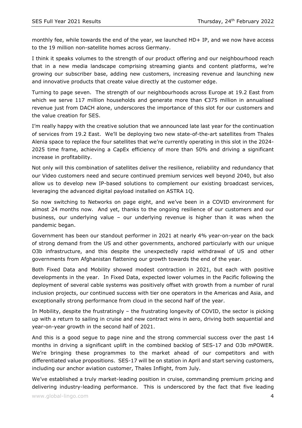monthly fee, while towards the end of the year, we launched HD+ IP, and we now have access to the 19 million non-satellite homes across Germany.

I think it speaks volumes to the strength of our product offering and our neighbourhood reach that in a new media landscape comprising streaming giants and content platforms, we're growing our subscriber base, adding new customers, increasing revenue and launching new and innovative products that create value directly at the customer edge.

Turning to page seven. The strength of our neighbourhoods across Europe at 19.2 East from which we serve 117 million households and generate more than  $\epsilon$ 375 million in annualised revenue just from DACH alone, underscores the importance of this slot for our customers and the value creation for SES.

I'm really happy with the creative solution that we announced late last year for the continuation of services from 19.2 East. We'll be deploying two new state-of-the-art satellites from Thales Alenia space to replace the four satellites that we're currently operating in this slot in the 2024- 2025 time frame, achieving a CapEx efficiency of more than 50% and driving a significant increase in profitability.

Not only will this combination of satellites deliver the resilience, reliability and redundancy that our Video customers need and secure continued premium services well beyond 2040, but also allow us to develop new IP-based solutions to complement our existing broadcast services, leveraging the advanced digital payload installed on ASTRA 1Q.

So now switching to Networks on page eight, and we've been in a COVID environment for almost 24 months now. And yet, thanks to the ongoing resilience of our customers and our business, our underlying value – our underlying revenue is higher than it was when the pandemic began.

Government has been our standout performer in 2021 at nearly 4% year-on-year on the back of strong demand from the US and other governments, anchored particularly with our unique O3b infrastructure, and this despite the unexpectedly rapid withdrawal of US and other governments from Afghanistan flattening our growth towards the end of the year.

Both Fixed Data and Mobility showed modest contraction in 2021, but each with positive developments in the year. In Fixed Data, expected lower volumes in the Pacific following the deployment of several cable systems was positively offset with growth from a number of rural inclusion projects, our continued success with tier one operators in the Americas and Asia, and exceptionally strong performance from cloud in the second half of the year.

In Mobility, despite the frustratingly – the frustrating longevity of COVID, the sector is picking up with a return to sailing in cruise and new contract wins in aero, driving both sequential and year-on-year growth in the second half of 2021.

And this is a good segue to page nine and the strong commercial success over the past 14 months in driving a significant uplift in the combined backlog of SES-17 and O3b mPOWER. We're bringing these programmes to the market ahead of our competitors and with differentiated value propositions. SES-17 will be on station in April and start serving customers, including our anchor aviation customer, Thales Inflight, from July.

We've established a truly market-leading position in cruise, commanding premium pricing and delivering industry-leading performance. This is underscored by the fact that five leading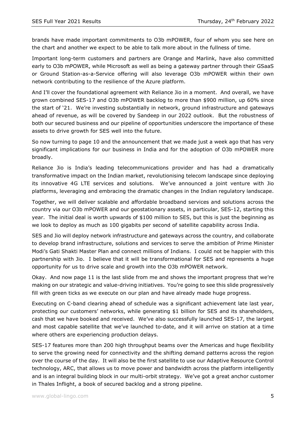brands have made important commitments to O3b mPOWER, four of whom you see here on the chart and another we expect to be able to talk more about in the fullness of time.

Important long-term customers and partners are Orange and Marlink, have also committed early to O3b mPOWER, while Microsoft as well as being a gateway partner through their GSaaS or Ground Station-as-a-Service offering will also leverage O3b mPOWER within their own network contributing to the resilience of the Azure platform.

And I'll cover the foundational agreement with Reliance Jio in a moment. And overall, we have grown combined SES-17 and O3b mPOWER backlog to more than \$900 million, up 60% since the start of '21. We're investing substantially in network, ground infrastructure and gateways ahead of revenue, as will be covered by Sandeep in our 2022 outlook. But the robustness of both our secured business and our pipeline of opportunities underscore the importance of these assets to drive growth for SES well into the future.

So now turning to page 10 and the announcement that we made just a week ago that has very significant implications for our business in India and for the adoption of O3b mPOWER more broadly.

Reliance Jio is India's leading telecommunications provider and has had a dramatically transformative impact on the Indian market, revolutionising telecom landscape since deploying its innovative 4G LTE services and solutions. We've announced a joint venture with Jio platforms, leveraging and embracing the dramatic changes in the Indian regulatory landscape.

Together, we will deliver scalable and affordable broadband services and solutions across the country via our O3b mPOWER and our geostationary assets, in particular, SES-12, starting this year. The initial deal is worth upwards of \$100 million to SES, but this is just the beginning as we look to deploy as much as 100 gigabits per second of satellite capability across India.

SES and Jio will deploy network infrastructure and gateways across the country, and collaborate to develop brand infrastructure, solutions and services to serve the ambition of Prime Minister Modi's Gati Shakti Master Plan and connect millions of Indians. I could not be happier with this partnership with Jio. I believe that it will be transformational for SES and represents a huge opportunity for us to drive scale and growth into the O3b mPOWER network.

Okay. And now page 11 is the last slide from me and shows the important progress that we're making on our strategic and value-driving initiatives. You're going to see this slide progressively fill with green ticks as we execute on our plan and have already made huge progress.

Executing on C-band clearing ahead of schedule was a significant achievement late last year, protecting our customers' networks, while generating \$1 billion for SES and its shareholders, cash that we have booked and received. We've also successfully launched SES-17, the largest and most capable satellite that we've launched to-date, and it will arrive on station at a time where others are experiencing production delays.

SES-17 features more than 200 high throughput beams over the Americas and huge flexibility to serve the growing need for connectivity and the shifting demand patterns across the region over the course of the day. It will also be the first satellite to use our Adaptive Resource Control technology, ARC, that allows us to move power and bandwidth across the platform intelligently and is an integral building block in our multi-orbit strategy. We've got a great anchor customer in Thales Inflight, a book of secured backlog and a strong pipeline.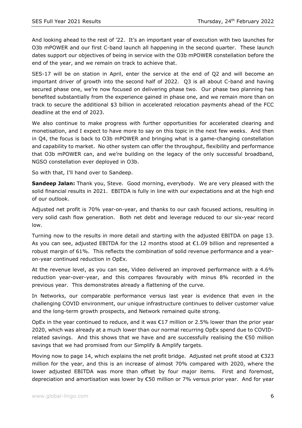And looking ahead to the rest of '22. It's an important year of execution with two launches for O3b mPOWER and our first C-band launch all happening in the second quarter. These launch dates support our objectives of being in service with the O3b mPOWER constellation before the end of the year, and we remain on track to achieve that.

SES-17 will be on station in April, enter the service at the end of Q2 and will become an important driver of growth into the second half of 2022. Q3 is all about C-band and having secured phase one, we're now focused on delivering phase two. Our phase two planning has benefited substantially from the experience gained in phase one, and we remain more than on track to secure the additional \$3 billion in accelerated relocation payments ahead of the FCC deadline at the end of 2023.

We also continue to make progress with further opportunities for accelerated clearing and monetisation, and I expect to have more to say on this topic in the next few weeks. And then in Q4, the focus is back to O3b mPOWER and bringing what is a game-changing constellation and capability to market. No other system can offer the throughput, flexibility and performance that O3b mPOWER can, and we're building on the legacy of the only successful broadband, NGSO constellation ever deployed in O3b.

So with that, I'll hand over to Sandeep.

**Sandeep Jalan:** Thank you, Steve. Good morning, everybody. We are very pleased with the solid financial results in 2021. EBITDA is fully in line with our expectations and at the high end of our outlook.

Adjusted net profit is 70% year-on-year, and thanks to our cash focused actions, resulting in very solid cash flow generation. Both net debt and leverage reduced to our six-year record low.

Turning now to the results in more detail and starting with the adjusted EBITDA on page 13. As you can see, adjusted EBITDA for the 12 months stood at  $\epsilon$ 1.09 billion and represented a robust margin of 61%. This reflects the combination of solid revenue performance and a yearon-year continued reduction in OpEx.

At the revenue level, as you can see, Video delivered an improved performance with a 4.6% reduction year-over-year, and this compares favourably with minus 8% recorded in the previous year. This demonstrates already a flattening of the curve.

In Networks, our comparable performance versus last year is evidence that even in the challenging COVID environment, our unique infrastructure continues to deliver customer value and the long-term growth prospects, and Network remained quite strong.

OpEx in the year continued to reduce, and it was  $\epsilon$ 17 million or 2.5% lower than the prior year 2020, which was already at a much lower than our normal recurring OpEx spend due to COVIDrelated savings. And this shows that we have and are successfully realising the  $\epsilon$ 50 million savings that we had promised from our Simplify & Amplify targets.

Moving now to page 14, which explains the net profit bridge. Adjusted net profit stood at €323 million for the year, and this is an increase of almost 70% compared with 2020, where the lower adjusted EBITDA was more than offset by four major items. First and foremost, depreciation and amortisation was lower by €50 million or 7% versus prior year. And for year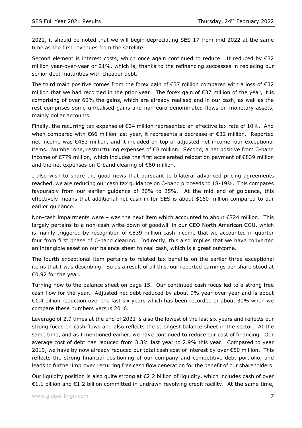2022, it should be noted that we will begin depreciating SES-17 from mid-2022 at the same time as the first revenues from the satellite.

Second element is interest costs, which once again continued to reduce. It reduced by  $\epsilon$ 32 million year-over-year or 21%, which is, thanks to the refinancing successes in replacing our senior debt maturities with cheaper debt.

The third main positive comes from the forex gain of €37 million compared with a loss of €32 million that we had recorded in the prior year. The forex gain of €37 million of the year, it is comprising of over 60% the gains, which are already realised and in our cash, as well as the rest comprises some unrealised gains and non-euro-denominated flows on monetary assets, mainly dollar accounts.

Finally, the recurring tax expense of  $\epsilon$ 34 million represented an effective tax rate of 10%. And when compared with €66 million last year, it represents a decrease of €32 million. Reported net income was €453 million, and it included on top of adjusted net income four exceptional items. Number one, restructuring expenses of €8 million. Second, a net positive from C-band income of €779 million, which includes the first accelerated relocation payment of €839 million and the net expenses on C-band clearing of €60 million.

I also wish to share the good news that pursuant to bilateral advanced pricing agreements reached, we are reducing our cash tax guidance on C-band proceeds to 18-19%. This compares favourably from our earlier guidance of 20% to 25%. At the mid end of guidance, this effectively means that additional net cash in for SES is about \$160 million compared to our earlier guidance.

Non-cash impairments were – was the next item which accounted to about  $\epsilon$ 724 million. This largely pertains to a non-cash write-down of goodwill in our GEO North American CGU, which is mainly triggered by recognition of €839 million cash income that we accounted in quarter four from first phase of C-band clearing. Indirectly, this also implies that we have converted an intangible asset on our balance sheet to real cash, which is a great outcome.

The fourth exceptional item pertains to related tax benefits on the earlier three exceptional items that I was describing. So as a result of all this, our reported earnings per share stood at €0.92 for the year.

Turning now to the balance sheet on page 15. Our continued cash focus led to a strong free cash flow for the year. Adjusted net debt reduced by about 9% year-over-year and is about €1.4 billion reduction over the last six years which has been recorded or about 30% when we compare these numbers versus 2016.

Leverage of 2.9 times at the end of 2021 is also the lowest of the last six years and reflects our strong focus on cash flows and also reflects the strongest balance sheet in the sector. At the same time, and as I mentioned earlier, we have continued to reduce our cost of financing. Our average cost of debt has reduced from 3.3% last year to 2.9% this year. Compared to year 2019, we have by now already reduced our total cash cost of interest by over €50 million. This reflects the strong financial positioning of our company and competitive debt portfolio, and leads to further improved recurring free cash flow generation for the benefit of our shareholders.

Our liquidity position is also quite strong at €2.2 billion of liquidity, which includes cash of over €1.1 billion and €1.2 billion committed in undrawn revolving credit facility. At the same time,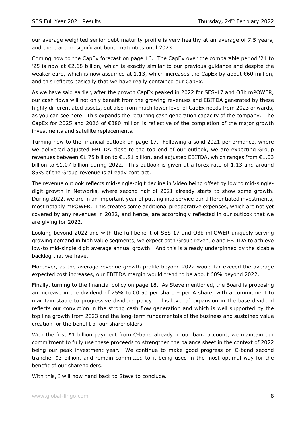our average weighted senior debt maturity profile is very healthy at an average of 7.5 years, and there are no significant bond maturities until 2023.

Coming now to the CapEx forecast on page 16. The CapEx over the comparable period '21 to '25 is now at €2.68 billion, which is exactly similar to our previous guidance and despite the weaker euro, which is now assumed at 1.13, which increases the CapEx by about  $€60$  million, and this reflects basically that we have really contained our CapEx.

As we have said earlier, after the growth CapEx peaked in 2022 for SES-17 and O3b mPOWER, our cash flows will not only benefit from the growing revenues and EBITDA generated by these highly differentiated assets, but also from much lower level of CapEx needs from 2023 onwards, as you can see here. This expands the recurring cash generation capacity of the company. The CapEx for 2025 and 2026 of €380 million is reflective of the completion of the major growth investments and satellite replacements.

Turning now to the financial outlook on page 17. Following a solid 2021 performance, where we delivered adjusted EBITDA close to the top end of our outlook, we are expecting Group revenues between €1.75 billion to €1.81 billion, and adjusted EBITDA, which ranges from €1.03 billion to €1.07 billion during 2022. This outlook is given at a forex rate of 1.13 and around 85% of the Group revenue is already contract.

The revenue outlook reflects mid-single-digit decline in Video being offset by low to mid-singledigit growth in Networks, where second half of 2021 already starts to show some growth. During 2022, we are in an important year of putting into service our differentiated investments, most notably mPOWER. This creates some additional preoperative expenses, which are not yet covered by any revenues in 2022, and hence, are accordingly reflected in our outlook that we are giving for 2022.

Looking beyond 2022 and with the full benefit of SES-17 and O3b mPOWER uniquely serving growing demand in high value segments, we expect both Group revenue and EBITDA to achieve low-to mid-single digit average annual growth. And this is already underpinned by the sizable backlog that we have.

Moreover, as the average revenue growth profile beyond 2022 would far exceed the average expected cost increases, our EBITDA margin would trend to be about 60% beyond 2022.

Finally, turning to the financial policy on page 18. As Steve mentioned, the Board is proposing an increase in the dividend of 25% to  $\epsilon$ 0.50 per share – per A share, with a commitment to maintain stable to progressive dividend policy. This level of expansion in the base dividend reflects our conviction in the strong cash flow generation and which is well supported by the top line growth from 2023 and the long-term fundamentals of the business and sustained value creation for the benefit of our shareholders.

With the first \$1 billion payment from C-band already in our bank account, we maintain our commitment to fully use these proceeds to strengthen the balance sheet in the context of 2022 being our peak investment year. We continue to make good progress on C-band second tranche, \$3 billion, and remain committed to it being used in the most optimal way for the benefit of our shareholders.

With this, I will now hand back to Steve to conclude.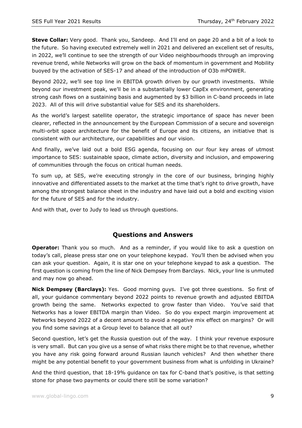**Steve Collar:** Very good. Thank you, Sandeep. And I'll end on page 20 and a bit of a look to the future. So having executed extremely well in 2021 and delivered an excellent set of results, in 2022, we'll continue to see the strength of our Video neighbourhoods through an improving revenue trend, while Networks will grow on the back of momentum in government and Mobility buoyed by the activation of SES-17 and ahead of the introduction of O3b mPOWER.

Beyond 2022, we'll see top line in EBITDA growth driven by our growth investments. While beyond our investment peak, we'll be in a substantially lower CapEx environment, generating strong cash flows on a sustaining basis and augmented by \$3 billion in C-band proceeds in late 2023. All of this will drive substantial value for SES and its shareholders.

As the world's largest satellite operator, the strategic importance of space has never been clearer, reflected in the announcement by the European Commission of a secure and sovereign multi-orbit space architecture for the benefit of Europe and its citizens, an initiative that is consistent with our architecture, our capabilities and our vision.

And finally, we've laid out a bold ESG agenda, focusing on our four key areas of utmost importance to SES: sustainable space, climate action, diversity and inclusion, and empowering of communities through the focus on critical human needs.

To sum up, at SES, we're executing strongly in the core of our business, bringing highly innovative and differentiated assets to the market at the time that's right to drive growth, have among the strongest balance sheet in the industry and have laid out a bold and exciting vision for the future of SES and for the industry.

And with that, over to Judy to lead us through questions.

## **Questions and Answers**

**Operator:** Thank you so much. And as a reminder, if you would like to ask a question on today's call, please press star one on your telephone keypad. You'll then be advised when you can ask your question. Again, it is star one on your telephone keypad to ask a question. The first question is coming from the line of Nick Dempsey from Barclays. Nick, your line is unmuted and may now go ahead.

**Nick Dempsey (Barclays):** Yes. Good morning guys. I've got three questions. So first of all, your guidance commentary beyond 2022 points to revenue growth and adjusted EBITDA growth being the same. Networks expected to grow faster than Video. You've said that Networks has a lower EBITDA margin than Video. So do you expect margin improvement at Networks beyond 2022 of a decent amount to avoid a negative mix effect on margins? Or will you find some savings at a Group level to balance that all out?

Second question, let's get the Russia question out of the way. I think your revenue exposure is very small. But can you give us a sense of what risks there might be to that revenue, whether you have any risk going forward around Russian launch vehicles? And then whether there might be any potential benefit to your government business from what is unfolding in Ukraine?

And the third question, that 18-19% guidance on tax for C-band that's positive, is that setting stone for phase two payments or could there still be some variation?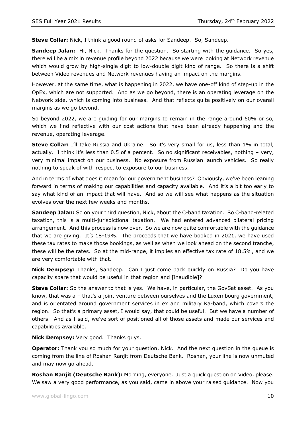**Steve Collar:** Nick, I think a good round of asks for Sandeep. So, Sandeep.

**Sandeep Jalan:** Hi, Nick. Thanks for the question. So starting with the guidance. So yes, there will be a mix in revenue profile beyond 2022 because we were looking at Network revenue which would grow by high-single digit to low-double digit kind of range. So there is a shift between Video revenues and Network revenues having an impact on the margins.

However, at the same time, what is happening in 2022, we have one-off kind of step-up in the OpEx, which are not supported. And as we go beyond, there is an operating leverage on the Network side, which is coming into business. And that reflects quite positively on our overall margins as we go beyond.

So beyond 2022, we are guiding for our margins to remain in the range around 60% or so, which we find reflective with our cost actions that have been already happening and the revenue, operating leverage.

**Steve Collar:** I'll take Russia and Ukraine. So it's very small for us, less than 1% in total, actually. I think it's less than 0.5 of a percent. So no significant receivables, nothing – very, very minimal impact on our business. No exposure from Russian launch vehicles. So really nothing to speak of with respect to exposure to our business.

And in terms of what does it mean for our government business? Obviously, we've been leaning forward in terms of making our capabilities and capacity available. And it's a bit too early to say what kind of an impact that will have. And so we will see what happens as the situation evolves over the next few weeks and months.

**Sandeep Jalan:** So on your third question, Nick, about the C-band taxation. So C-band-related taxation, this is a multi-jurisdictional taxation. We had entered advanced bilateral pricing arrangement. And this process is now over. So we are now quite comfortable with the guidance that we are giving. It's 18-19%. The proceeds that we have booked in 2021, we have used these tax rates to make those bookings, as well as when we look ahead on the second tranche, these will be the rates. So at the mid-range, it implies an effective tax rate of 18.5%, and we are very comfortable with that.

**Nick Dempsey:** Thanks, Sandeep. Can I just come back quickly on Russia? Do you have capacity spare that would be useful in that region and [inaudible]?

**Steve Collar:** So the answer to that is yes. We have, in particular, the GovSat asset. As you know, that was a – that's a joint venture between ourselves and the Luxembourg government, and is orientated around government services in ex and military Ka-band, which covers the region. So that's a primary asset, I would say, that could be useful. But we have a number of others. And as I said, we've sort of positioned all of those assets and made our services and capabilities available.

**Nick Dempsey:** Very good. Thanks guys.

**Operator:** Thank you so much for your question, Nick. And the next question in the queue is coming from the line of Roshan Ranjit from Deutsche Bank. Roshan, your line is now unmuted and may now go ahead.

**Roshan Ranjit (Deutsche Bank):** Morning, everyone. Just a quick question on Video, please. We saw a very good performance, as you said, came in above your raised guidance. Now you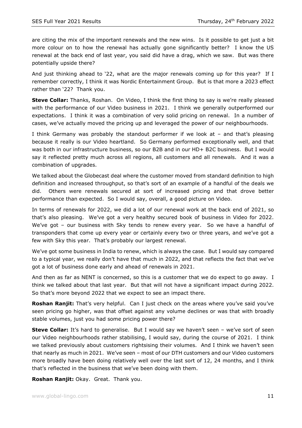are citing the mix of the important renewals and the new wins. Is it possible to get just a bit more colour on to how the renewal has actually gone significantly better? I know the US renewal at the back end of last year, you said did have a drag, which we saw. But was there potentially upside there?

And just thinking ahead to '22, what are the major renewals coming up for this year? If I remember correctly, I think it was Nordic Entertainment Group. But is that more a 2023 effect rather than '22? Thank you.

**Steve Collar:** Thanks, Roshan. On Video, I think the first thing to say is we're really pleased with the performance of our Video business in 2021. I think we generally outperformed our expectations. I think it was a combination of very solid pricing on renewal. In a number of cases, we've actually moved the pricing up and leveraged the power of our neighbourhoods.

I think Germany was probably the standout performer if we look at – and that's pleasing because it really is our Video heartland. So Germany performed exceptionally well, and that was both in our infrastructure business, so our B2B and in our HD+ B2C business. But I would say it reflected pretty much across all regions, all customers and all renewals. And it was a combination of upgrades.

We talked about the Globecast deal where the customer moved from standard definition to high definition and increased throughput, so that's sort of an example of a handful of the deals we did. Others were renewals secured at sort of increased pricing and that drove better performance than expected. So I would say, overall, a good picture on Video.

In terms of renewals for 2022, we did a lot of our renewal work at the back end of 2021, so that's also pleasing. We've got a very healthy secured book of business in Video for 2022. We've got - our business with Sky tends to renew every year. So we have a handful of transponders that come up every year or certainly every two or three years, and we've got a few with Sky this year. That's probably our largest renewal.

We've got some business in India to renew, which is always the case. But I would say compared to a typical year, we really don't have that much in 2022, and that reflects the fact that we've got a lot of business done early and ahead of renewals in 2021.

And then as far as NENT is concerned, so this is a customer that we do expect to go away. I think we talked about that last year. But that will not have a significant impact during 2022. So that's more beyond 2022 that we expect to see an impact there.

**Roshan Ranjit:** That's very helpful. Can I just check on the areas where you've said you've seen pricing go higher, was that offset against any volume declines or was that with broadly stable volumes, just you had some pricing power there?

**Steve Collar:** It's hard to generalise. But I would say we haven't seen - we've sort of seen our Video neighbourhoods rather stabilising, I would say, during the course of 2021. I think we talked previously about customers rightsising their volumes. And I think we haven't seen that nearly as much in 2021. We've seen – most of our DTH customers and our Video customers more broadly have been doing relatively well over the last sort of 12, 24 months, and I think that's reflected in the business that we've been doing with them.

**Roshan Ranjit:** Okay. Great. Thank you.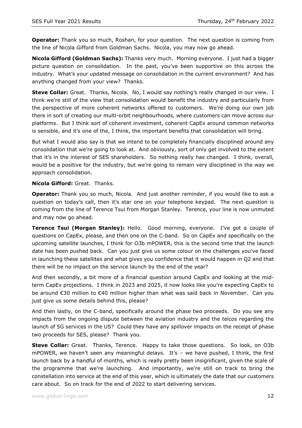**Operator:** Thank you so much, Roshan, for your question. The next question is coming from the line of Nicola Gifford from Goldman Sachs. Nicola, you may now go ahead.

**Nicola Gifford (Goldman Sachs):** Thanks very much. Morning everyone. I just had a bigger picture question on consolidation. In the past, you've been supportive on this across the industry. What's your updated message on consolidation in the current environment? And has anything changed from your view? Thanks.

**Steve Collar:** Great. Thanks, Nicola. No, I would say nothing's really changed in our view. I think we're still of the view that consolidation would benefit the industry and particularly from the perspective of more coherent networks offered to customers. We're doing our own job there in sort of creating our multi-orbit neighbourhoods, where customers can move across our platforms. But I think sort of coherent investment, coherent CapEx around common networks is sensible, and it's one of the, I think, the important benefits that consolidation will bring.

But what I would also say is that we intend to be completely financially disciplined around any consolidation that we're going to look at. And obviously, sort of only get involved to the extent that it's in the interest of SES shareholders. So nothing really has changed. I think, overall, would be a positive for the industry, but we're going to remain very disciplined in the way we approach consolidation.

**Nicola Gifford:** Great. Thanks.

**Operator:** Thank you so much, Nicola. And just another reminder, if you would like to ask a question on today's call, then it's star one on your telephone keypad. The next question is coming from the line of Terence Tsui from Morgan Stanley. Terence, your line is now unmuted and may now go ahead.

**Terence Tsui (Morgan Stanley):** Hello. Good morning, everyone. I've got a couple of questions on CapEx, please, and then one on the C-band. So on CapEx and specifically on the upcoming satellite launches, I think for O3b mPOWER, this is the second time that the launch date has been pushed back. Can you just give us some colour on the challenges you've faced in launching these satellites and what gives you confidence that it would happen in Q2 and that there will be no impact on the service launch by the end of the year?

And then secondly, a bit more of a financial question around CapEx and looking at the midterm CapEx projections. I think in 2023 and 2025, it now looks like you're expecting CapEx to be around €30 million to €40 million higher than what was said back in November. Can you just give us some details behind this, please?

And then lastly, on the C-band, specifically around the phase two proceeds. Do you see any impacts from the ongoing dispute between the aviation industry and the telcos regarding the launch of 5G services in the US? Could they have any spillover impacts on the receipt of phase two proceeds for SES, please? Thank you.

**Steve Collar:** Great. Thanks, Terence. Happy to take those questions. So look, on O3b mPOWER, we haven't seen any meaningful delays. It's – we have pushed, I think, the first launch back by a handful of months, which is really pretty been insignificant, given the scale of the programme that we're launching. And importantly, we're still on track to bring the constellation into service at the end of this year, which is ultimately the date that our customers care about. So on track for the end of 2022 to start delivering services.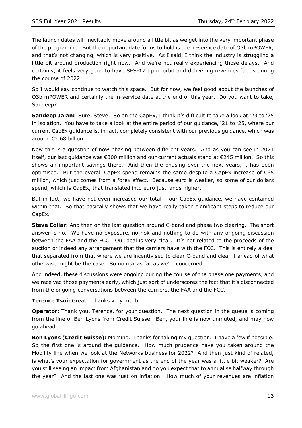The launch dates will inevitably move around a little bit as we get into the very important phase of the programme. But the important date for us to hold is the in-service date of O3b mPOWER, and that's not changing, which is very positive. As I said, I think the industry is struggling a little bit around production right now. And we're not really experiencing those delays. And certainly, it feels very good to have SES-17 up in orbit and delivering revenues for us during the course of 2022.

So I would say continue to watch this space. But for now, we feel good about the launches of O3b mPOWER and certainly the in-service date at the end of this year. Do you want to take, Sandeep?

**Sandeep Jalan:** Sure, Steve. So on the CapEx, I think it's difficult to take a look at '23 to '25 in isolation. You have to take a look at the entire period of our guidance, '21 to '25, where our current CapEx guidance is, in fact, completely consistent with our previous guidance, which was around €2.68 billion.

Now this is a question of now phasing between different years. And as you can see in 2021 itself, our last guidance was €300 million and our current actuals stand at €245 million. So this shows an important savings there. And then the phasing over the next years, it has been optimised. But the overall CapEx spend remains the same despite a CapEx increase of €65 million, which just comes from a forex effect. Because euro is weaker, so some of our dollars spend, which is CapEx, that translated into euro just lands higher.

But in fact, we have not even increased our total – our CapEx guidance, we have contained within that. So that basically shows that we have really taken significant steps to reduce our CapEx.

**Steve Collar:** And then on the last question around C-band and phase two clearing. The short answer is no. We have no exposure, no risk and nothing to do with any ongoing discussion between the FAA and the FCC. Our deal is very clear. It's not related to the proceeds of the auction or indeed any arrangement that the carriers have with the FCC. This is entirely a deal that separated from that where we are incentivised to clear C-band and clear it ahead of what otherwise might be the case. So no risk as far as we're concerned.

And indeed, these discussions were ongoing during the course of the phase one payments, and we received those payments early, which just sort of underscores the fact that it's disconnected from the ongoing conversations between the carriers, the FAA and the FCC.

**Terence Tsui:** Great. Thanks very much.

**Operator:** Thank you, Terence, for your question. The next question in the queue is coming from the line of Ben Lyons from Credit Suisse. Ben, your line is now unmuted, and may now go ahead.

**Ben Lyons (Credit Suisse):** Morning. Thanks for taking my question. I have a few if possible. So the first one is around the guidance. How much prudence have you taken around the Mobility line when we look at the Networks business for 2022? And then just kind of related, is what's your expectation for government as the end of the year was a little bit weaker? Are you still seeing an impact from Afghanistan and do you expect that to annualise halfway through the year? And the last one was just on inflation. How much of your revenues are inflation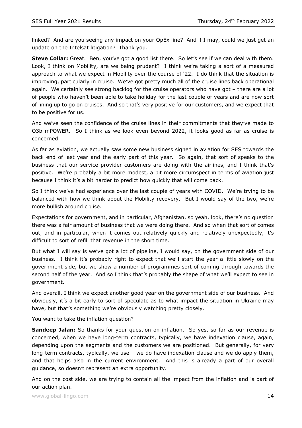linked? And are you seeing any impact on your OpEx line? And if I may, could we just get an update on the Intelsat litigation? Thank you.

**Steve Collar:** Great. Ben, you've got a good list there. So let's see if we can deal with them. Look, I think on Mobility, are we being prudent? I think we're taking a sort of a measured approach to what we expect in Mobility over the course of '22. I do think that the situation is improving, particularly in cruise. We've got pretty much all of the cruise lines back operational again. We certainly see strong backlog for the cruise operators who have got – there are a lot of people who haven't been able to take holiday for the last couple of years and are now sort of lining up to go on cruises. And so that's very positive for our customers, and we expect that to be positive for us.

And we've seen the confidence of the cruise lines in their commitments that they've made to O3b mPOWER. So I think as we look even beyond 2022, it looks good as far as cruise is concerned.

As far as aviation, we actually saw some new business signed in aviation for SES towards the back end of last year and the early part of this year. So again, that sort of speaks to the business that our service provider customers are doing with the airlines, and I think that's positive. We're probably a bit more modest, a bit more circumspect in terms of aviation just because I think it's a bit harder to predict how quickly that will come back.

So I think we've had experience over the last couple of years with COVID. We're trying to be balanced with how we think about the Mobility recovery. But I would say of the two, we're more bullish around cruise.

Expectations for government, and in particular, Afghanistan, so yeah, look, there's no question there was a fair amount of business that we were doing there. And so when that sort of comes out, and in particular, when it comes out relatively quickly and relatively unexpectedly, it's difficult to sort of refill that revenue in the short time.

But what I will say is we've got a lot of pipeline, I would say, on the government side of our business. I think it's probably right to expect that we'll start the year a little slowly on the government side, but we show a number of programmes sort of coming through towards the second half of the year. And so I think that's probably the shape of what we'll expect to see in government.

And overall, I think we expect another good year on the government side of our business. And obviously, it's a bit early to sort of speculate as to what impact the situation in Ukraine may have, but that's something we're obviously watching pretty closely.

You want to take the inflation question?

**Sandeep Jalan:** So thanks for your question on inflation. So yes, so far as our revenue is concerned, when we have long-term contracts, typically, we have indexation clause, again, depending upon the segments and the customers we are positioned. But generally, for very long-term contracts, typically, we use – we do have indexation clause and we do apply them, and that helps also in the current environment. And this is already a part of our overall guidance, so doesn't represent an extra opportunity.

And on the cost side, we are trying to contain all the impact from the inflation and is part of our action plan.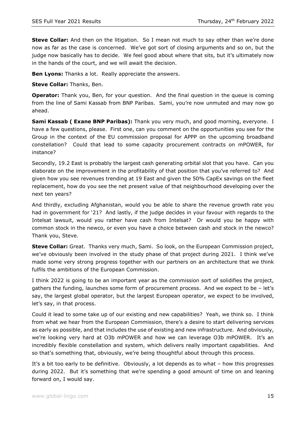**Steve Collar:** And then on the litigation. So I mean not much to say other than we're done now as far as the case is concerned. We've got sort of closing arguments and so on, but the judge now basically has to decide. We feel good about where that sits, but it's ultimately now in the hands of the court, and we will await the decision.

**Ben Lyons:** Thanks a lot. Really appreciate the answers.

**Steve Collar:** Thanks, Ben.

**Operator:** Thank you, Ben, for your question. And the final question in the queue is coming from the line of Sami Kassab from BNP Paribas. Sami, you're now unmuted and may now go ahead.

**Sami Kassab ( Exane BNP Paribas):** Thank you very much, and good morning, everyone. I have a few questions, please. First one, can you comment on the opportunities you see for the Group in the context of the EU commission proposal for APPP on the upcoming broadband constellation? Could that lead to some capacity procurement contracts on mPOWER, for instance?

Secondly, 19.2 East is probably the largest cash generating orbital slot that you have. Can you elaborate on the improvement in the profitability of that position that you've referred to? And given how you see revenues trending at 19 East and given the 50% CapEx savings on the fleet replacement, how do you see the net present value of that neighbourhood developing over the next ten years?

And thirdly, excluding Afghanistan, would you be able to share the revenue growth rate you had in government for '21? And lastly, if the judge decides in your favour with regards to the Intelsat lawsuit, would you rather have cash from Intelsat? Or would you be happy with common stock in the newco, or even you have a choice between cash and stock in the newco? Thank you, Steve.

**Steve Collar:** Great. Thanks very much, Sami. So look, on the European Commission project, we've obviously been involved in the study phase of that project during 2021. I think we've made some very strong progress together with our partners on an architecture that we think fulfils the ambitions of the European Commission.

I think 2022 is going to be an important year as the commission sort of solidifies the project, gathers the funding, launches some form of procurement process. And we expect to be – let's say, the largest global operator, but the largest European operator, we expect to be involved, let's say, in that process.

Could it lead to some take up of our existing and new capabilities? Yeah, we think so. I think from what we hear from the European Commission, there's a desire to start delivering services as early as possible, and that includes the use of existing and new infrastructure. And obviously, we're looking very hard at O3b mPOWER and how we can leverage O3b mPOWER. It's an incredibly flexible constellation and system, which delivers really important capabilities. And so that's something that, obviously, we're being thoughtful about through this process.

It's a bit too early to be definitive. Obviously, a lot depends as to what – how this progresses during 2022. But it's something that we're spending a good amount of time on and leaning forward on, I would say.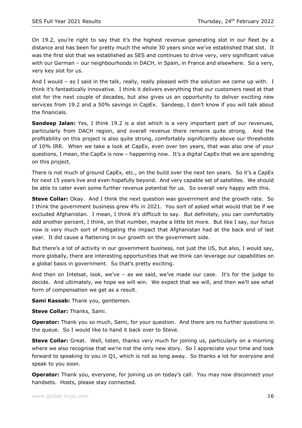On 19.2, you're right to say that it's the highest revenue generating slot in our fleet by a distance and has been for pretty much the whole 30 years since we've established that slot. It was the first slot that we established as SES and continues to drive very, very significant value with our German – our neighbourhoods in DACH, in Spain, in France and elsewhere. So a very, very key slot for us.

And I would - as I said in the talk, really, really pleased with the solution we came up with. I think it's fantastically innovative. I think it delivers everything that our customers need at that slot for the next couple of decades, but also gives us an opportunity to deliver exciting new services from 19.2 and a 50% savings in CapEx. Sandeep, I don't know if you will talk about the financials.

**Sandeep Jalan:** Yes, I think 19.2 is a slot which is a very important part of our revenues, particularly from DACH region, and overall revenue there remains quite strong. And the profitability on this project is also quite strong, comfortably significantly above our thresholds of 10% IRR. When we take a look at CapEx, even over ten years, that was also one of your questions, I mean, the CapEx is now – happening now. It's a digital CapEx that we are spending on this project.

There is not much of ground CapEx, etc., on the build over the next ten years. So it's a CapEx for next 15 years live and even hopefully beyond. And very capable set of satellites. We should be able to cater even some further revenue potential for us. So overall very happy with this.

**Steve Collar:** Okay. And I think the next question was government and the growth rate. So I think the government business grew 4% in 2021. You sort of asked what would that be if we excluded Afghanistan. I mean, I think it's difficult to say. But definitely, you can comfortably add another percent, I think, on that number, maybe a little bit more. But like I say, our focus now is very much sort of mitigating the impact that Afghanistan had at the back end of last year. It did cause a flattening in our growth on the government side.

But there's a lot of activity in our government business, not just the US, but also, I would say, more globally, there are interesting opportunities that we think can leverage our capabilities on a global basis in government. So that's pretty exciting.

And then on Intelsat, look, we've – as we said, we've made our case. It's for the judge to decide. And ultimately, we hope we will win. We expect that we will, and then we'll see what form of compensation we get as a result.

**Sami Kassab:** Thank you, gentlemen.

**Steve Collar:** Thanks, Sami.

**Operator:** Thank you so much, Sami, for your question. And there are no further questions in the queue. So I would like to hand it back over to Steve.

**Steve Collar:** Great. Well, listen, thanks very much for joining us, particularly on a morning where we also recognise that we're not the only new story. So I appreciate your time and look forward to speaking to you in Q1, which is not so long away. So thanks a lot for everyone and speak to you soon.

**Operator:** Thank you, everyone, for joining us on today's call. You may now disconnect your handsets. Hosts, please stay connected.